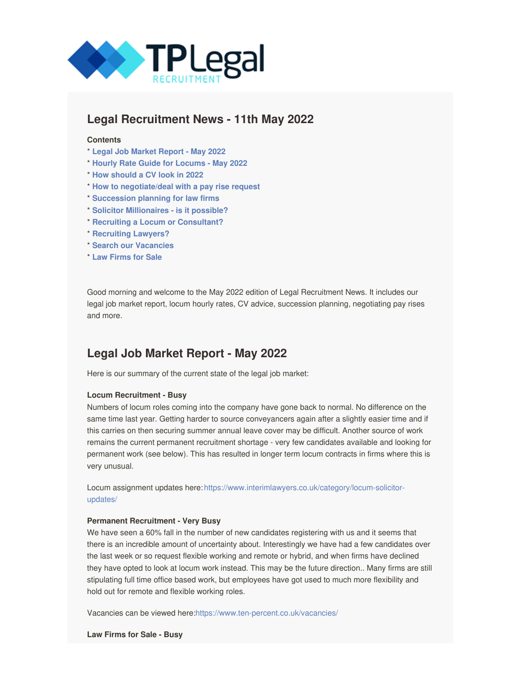<span id="page-0-0"></span>

## **Legal Recruitment News - 11th May 2022**

#### **Contents**

- \* **Legal Job [Market](#page-0-0) Report - May 2022**
- \* **Hourly Rate Guide for [Locums](#page-0-0) - May 2022**
- \* **How [should](#page-0-0) a CV look in 2022**
- \* **How to [negotiate/deal](#page-0-0) with a pay rise request**
- \* **[Succession](#page-0-0) planning for law firms**
- \* **Solicitor [Millionaires](#page-0-0) - is it possible?**
- \* **Recruiting a Locum or [Consultant?](https://www.interimlawyers.co.uk/register-an-assignment/)**
- \* **[Recruiting](https://www.ten-percent.co.uk/vacancy-registration/) Lawyers?**
- \* **Search our [Vacancies](https://jobs.ten-percent.co.uk/tplegal/search/results/all/1)**
- \* **Law [Firms](https://www.jonathanfagan.co.uk/law-accountancy-firms-for-sale/) for Sale**

Good morning and welcome to the May 2022 edition of Legal Recruitment News. It includes our legal job market report, locum hourly rates, CV advice, succession planning, negotiating pay rises and more.

### **Legal Job Market Report - May 2022**

Here is our summary of the current state of the legal job market:

#### **Locum Recruitment - Busy**

Numbers of locum roles coming into the company have gone back to normal. No difference on the same time last year. Getting harder to source conveyancers again after a slightly easier time and if this carries on then securing summer annual leave cover may be difficult. Another source of work remains the current permanent recruitment shortage - very few candidates available and looking for permanent work (see below). This has resulted in longer term locum contracts in firms where this is very unusual.

Locum assignment updates here: [https://www.interimlawyers.co.uk/category/locum-solicitor](https://www.interimlawyers.co.uk/category/locum-solicitor-updates/)updates/

#### **Permanent Recruitment - Very Busy**

We have seen a 60% fall in the number of new candidates registering with us and it seems that there is an incredible amount of uncertainty about. Interestingly we have had a few candidates over the last week or so request flexible working and remote or hybrid, and when firms have declined they have opted to look at locum work instead. This may be the future direction.. Many firms are still stipulating full time office based work, but employees have got used to much more flexibility and hold out for remote and flexible working roles.

Vacancies can be viewed here:<https://www.ten-percent.co.uk/vacancies/>

**Law Firms for Sale - Busy**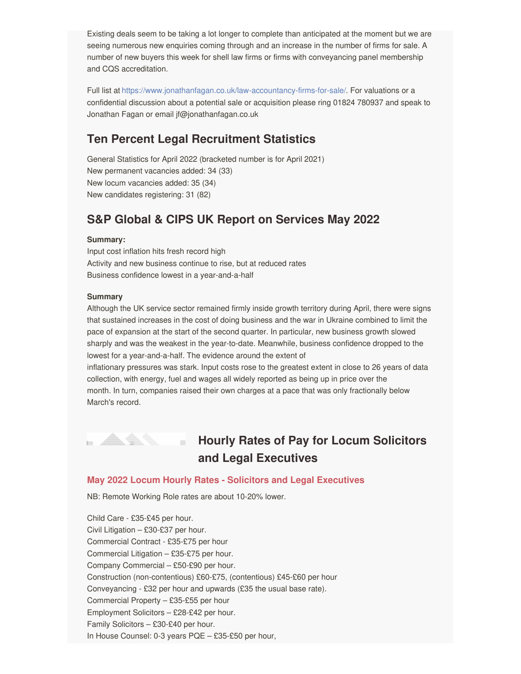Existing deals seem to be taking a lot longer to complete than anticipated at the moment but we are seeing numerous new enquiries coming through and an increase in the number of firms for sale. A number of new buyers this week for shell law firms or firms with conveyancing panel membership and CQS accreditation.

Full list at <https://www.jonathanfagan.co.uk/law-accountancy-firms-for-sale/>. For valuations or a confidential discussion about a potential sale or acquisition please ring 01824 780937 and speak to Jonathan Fagan or email jf@jonathanfagan.co.uk

# **Ten Percent Legal Recruitment Statistics**

General Statistics for April 2022 (bracketed number is for April 2021) New permanent vacancies added: 34 (33) New locum vacancies added: 35 (34) New candidates registering: 31 (82)

# **S&P Global & CIPS UK Report on Services May 2022**

#### **Summary:**

Input cost inflation hits fresh record high Activity and new business continue to rise, but at reduced rates Business confidence lowest in a year-and-a-half

#### **Summary**

Although the UK service sector remained firmly inside growth territory during April, there were signs that sustained increases in the cost of doing business and the war in Ukraine combined to limit the pace of expansion at the start of the second quarter. In particular, new business growth slowed sharply and was the weakest in the year-to-date. Meanwhile, business confidence dropped to the lowest for a year-and-a-half. The evidence around the extent of

inflationary pressures was stark. Input costs rose to the greatest extent in close to 26 years of data collection, with energy, fuel and wages all widely reported as being up in price over the month. In turn, companies raised their own charges at a pace that was only fractionally below March's record.



# **Hourly Rates of Pay for Locum Solicitors and Legal Executives**

#### **May 2022 Locum Hourly Rates - Solicitors and Legal Executives**

NB: Remote Working Role rates are about 10-20% lower.

Child Care - £35-£45 per hour. Civil Litigation – £30-£37 per hour. Commercial Contract - £35-£75 per hour Commercial Litigation – £35-£75 per hour. Company Commercial – £50-£90 per hour. Construction (non-contentious) £60-£75, (contentious) £45-£60 per hour Conveyancing - £32 per hour and upwards (£35 the usual base rate). Commercial Property – £35-£55 per hour Employment Solicitors – £28-£42 per hour. Family Solicitors – £30-£40 per hour. In House Counsel: 0-3 years PQE – £35-£50 per hour,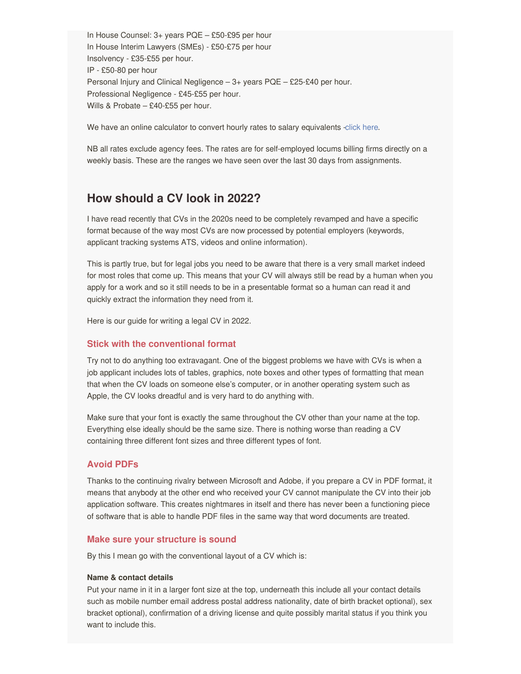In House Counsel: 3+ years PQE – £50-£95 per hour In House Interim Lawyers (SMEs) - £50-£75 per hour Insolvency - £35-£55 per hour. IP - £50-80 per hour Personal Injury and Clinical Negligence – 3+ years PQE – £25-£40 per hour. Professional Negligence - £45-£55 per hour. Wills & Probate – £40-£55 per hour.

We have an online calculator to convert hourly rates to salary equivalents [-click](https://www.interimlawyers.co.uk/locum-calculators/) here.

NB all rates exclude agency fees. The rates are for self-employed locums billing firms directly on a weekly basis. These are the ranges we have seen over the last 30 days from assignments.

### **How should a CV look in 2022?**

I have read recently that CVs in the 2020s need to be completely revamped and have a specific format because of the way most CVs are now processed by potential employers (keywords, applicant tracking systems ATS, videos and online information).

This is partly true, but for legal jobs you need to be aware that there is a very small market indeed for most roles that come up. This means that your CV will always still be read by a human when you apply for a work and so it still needs to be in a presentable format so a human can read it and quickly extract the information they need from it.

Here is our guide for writing a legal CV in 2022.

#### **Stick with the conventional format**

Try not to do anything too extravagant. One of the biggest problems we have with CVs is when a job applicant includes lots of tables, graphics, note boxes and other types of formatting that mean that when the CV loads on someone else's computer, or in another operating system such as Apple, the CV looks dreadful and is very hard to do anything with.

Make sure that your font is exactly the same throughout the CV other than your name at the top. Everything else ideally should be the same size. There is nothing worse than reading a CV containing three different font sizes and three different types of font.

#### **Avoid PDFs**

Thanks to the continuing rivalry between Microsoft and Adobe, if you prepare a CV in PDF format, it means that anybody at the other end who received your CV cannot manipulate the CV into their job application software. This creates nightmares in itself and there has never been a functioning piece of software that is able to handle PDF files in the same way that word documents are treated.

#### **Make sure your structure is sound**

By this I mean go with the conventional layout of a CV which is:

#### **Name & contact details**

Put your name in it in a larger font size at the top, underneath this include all your contact details such as mobile number email address postal address nationality, date of birth bracket optional), sex bracket optional), confirmation of a driving license and quite possibly marital status if you think you want to include this.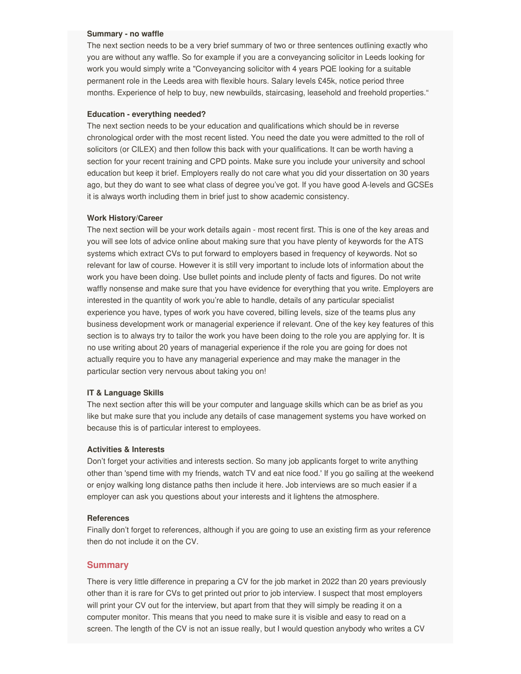#### **Summary - no waffle**

The next section needs to be a very brief summary of two or three sentences outlining exactly who you are without any waffle. So for example if you are a conveyancing solicitor in Leeds looking for work you would simply write a "Conveyancing solicitor with 4 years PQE looking for a suitable permanent role in the Leeds area with flexible hours. Salary levels £45k, notice period three months. Experience of help to buy, new newbuilds, staircasing, leasehold and freehold properties."

#### **Education - everything needed?**

The next section needs to be your education and qualifications which should be in reverse chronological order with the most recent listed. You need the date you were admitted to the roll of solicitors (or CILEX) and then follow this back with your qualifications. It can be worth having a section for your recent training and CPD points. Make sure you include your university and school education but keep it brief. Employers really do not care what you did your dissertation on 30 years ago, but they do want to see what class of degree you've got. If you have good A-levels and GCSEs it is always worth including them in brief just to show academic consistency.

#### **Work History/Career**

The next section will be your work details again - most recent first. This is one of the key areas and you will see lots of advice online about making sure that you have plenty of keywords for the ATS systems which extract CVs to put forward to employers based in frequency of keywords. Not so relevant for law of course. However it is still very important to include lots of information about the work you have been doing. Use bullet points and include plenty of facts and figures. Do not write waffly nonsense and make sure that you have evidence for everything that you write. Employers are interested in the quantity of work you're able to handle, details of any particular specialist experience you have, types of work you have covered, billing levels, size of the teams plus any business development work or managerial experience if relevant. One of the key key features of this section is to always try to tailor the work you have been doing to the role you are applying for. It is no use writing about 20 years of managerial experience if the role you are going for does not actually require you to have any managerial experience and may make the manager in the particular section very nervous about taking you on!

#### **IT & Language Skills**

The next section after this will be your computer and language skills which can be as brief as you like but make sure that you include any details of case management systems you have worked on because this is of particular interest to employees.

#### **Activities & Interests**

Don't forget your activities and interests section. So many job applicants forget to write anything other than 'spend time with my friends, watch TV and eat nice food.' If you go sailing at the weekend or enjoy walking long distance paths then include it here. Job interviews are so much easier if a employer can ask you questions about your interests and it lightens the atmosphere.

#### **References**

Finally don't forget to references, although if you are going to use an existing firm as your reference then do not include it on the CV.

#### **Summary**

There is very little difference in preparing a CV for the job market in 2022 than 20 years previously other than it is rare for CVs to get printed out prior to job interview. I suspect that most employers will print your CV out for the interview, but apart from that they will simply be reading it on a computer monitor. This means that you need to make sure it is visible and easy to read on a screen. The length of the CV is not an issue really, but I would question anybody who writes a CV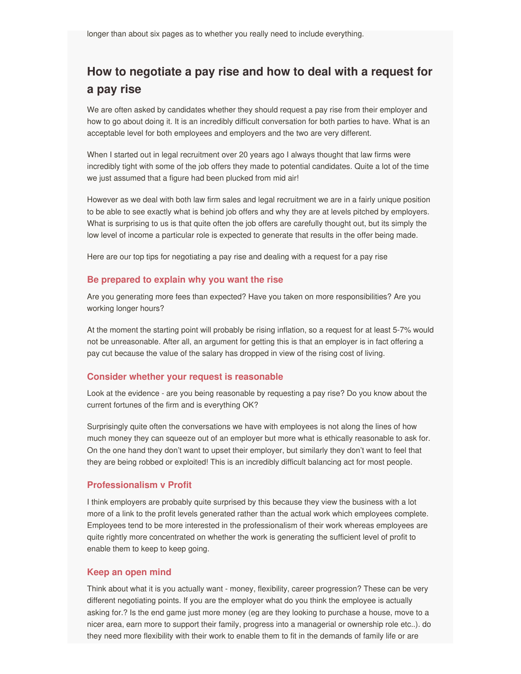# **How to negotiate a pay rise and how to deal with a request for a pay rise**

We are often asked by candidates whether they should request a pay rise from their employer and how to go about doing it. It is an incredibly difficult conversation for both parties to have. What is an acceptable level for both employees and employers and the two are very different.

When I started out in legal recruitment over 20 years ago I always thought that law firms were incredibly tight with some of the job offers they made to potential candidates. Quite a lot of the time we just assumed that a figure had been plucked from mid air!

However as we deal with both law firm sales and legal recruitment we are in a fairly unique position to be able to see exactly what is behind job offers and why they are at levels pitched by employers. What is surprising to us is that quite often the job offers are carefully thought out, but its simply the low level of income a particular role is expected to generate that results in the offer being made.

Here are our top tips for negotiating a pay rise and dealing with a request for a pay rise

#### **Be prepared to explain why you want the rise**

Are you generating more fees than expected? Have you taken on more responsibilities? Are you working longer hours?

At the moment the starting point will probably be rising inflation, so a request for at least 5-7% would not be unreasonable. After all, an argument for getting this is that an employer is in fact offering a pay cut because the value of the salary has dropped in view of the rising cost of living.

#### **Consider whether your request is reasonable**

Look at the evidence - are you being reasonable by requesting a pay rise? Do you know about the current fortunes of the firm and is everything OK?

Surprisingly quite often the conversations we have with employees is not along the lines of how much money they can squeeze out of an employer but more what is ethically reasonable to ask for. On the one hand they don't want to upset their employer, but similarly they don't want to feel that they are being robbed or exploited! This is an incredibly difficult balancing act for most people.

#### **Professionalism v Profit**

I think employers are probably quite surprised by this because they view the business with a lot more of a link to the profit levels generated rather than the actual work which employees complete. Employees tend to be more interested in the professionalism of their work whereas employees are quite rightly more concentrated on whether the work is generating the sufficient level of profit to enable them to keep to keep going.

#### **Keep an open mind**

Think about what it is you actually want - money, flexibility, career progression? These can be very different negotiating points. If you are the employer what do you think the employee is actually asking for.? Is the end game just more money (eg are they looking to purchase a house, move to a nicer area, earn more to support their family, progress into a managerial or ownership role etc..). do they need more flexibility with their work to enable them to fit in the demands of family life or are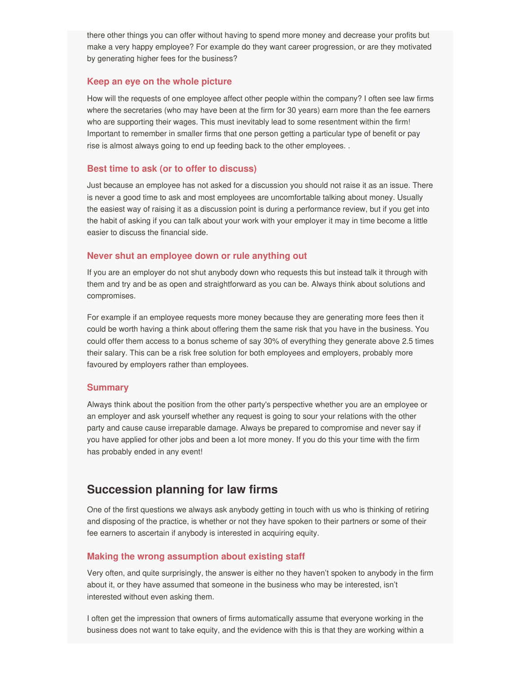there other things you can offer without having to spend more money and decrease your profits but make a very happy employee? For example do they want career progression, or are they motivated by generating higher fees for the business?

#### **Keep an eye on the whole picture**

How will the requests of one employee affect other people within the company? I often see law firms where the secretaries (who may have been at the firm for 30 years) earn more than the fee earners who are supporting their wages. This must inevitably lead to some resentment within the firm! Important to remember in smaller firms that one person getting a particular type of benefit or pay rise is almost always going to end up feeding back to the other employees. .

#### **Best time to ask (or to offer to discuss)**

Just because an employee has not asked for a discussion you should not raise it as an issue. There is never a good time to ask and most employees are uncomfortable talking about money. Usually the easiest way of raising it as a discussion point is during a performance review, but if you get into the habit of asking if you can talk about your work with your employer it may in time become a little easier to discuss the financial side.

#### **Never shut an employee down or rule anything out**

If you are an employer do not shut anybody down who requests this but instead talk it through with them and try and be as open and straightforward as you can be. Always think about solutions and compromises.

For example if an employee requests more money because they are generating more fees then it could be worth having a think about offering them the same risk that you have in the business. You could offer them access to a bonus scheme of say 30% of everything they generate above 2.5 times their salary. This can be a risk free solution for both employees and employers, probably more favoured by employers rather than employees.

#### **Summary**

Always think about the position from the other party's perspective whether you are an employee or an employer and ask yourself whether any request is going to sour your relations with the other party and cause cause irreparable damage. Always be prepared to compromise and never say if you have applied for other jobs and been a lot more money. If you do this your time with the firm has probably ended in any event!

### **Succession planning for law firms**

One of the first questions we always ask anybody getting in touch with us who is thinking of retiring and disposing of the practice, is whether or not they have spoken to their partners or some of their fee earners to ascertain if anybody is interested in acquiring equity.

#### **Making the wrong assumption about existing staff**

Very often, and quite surprisingly, the answer is either no they haven't spoken to anybody in the firm about it, or they have assumed that someone in the business who may be interested, isn't interested without even asking them.

I often get the impression that owners of firms automatically assume that everyone working in the business does not want to take equity, and the evidence with this is that they are working within a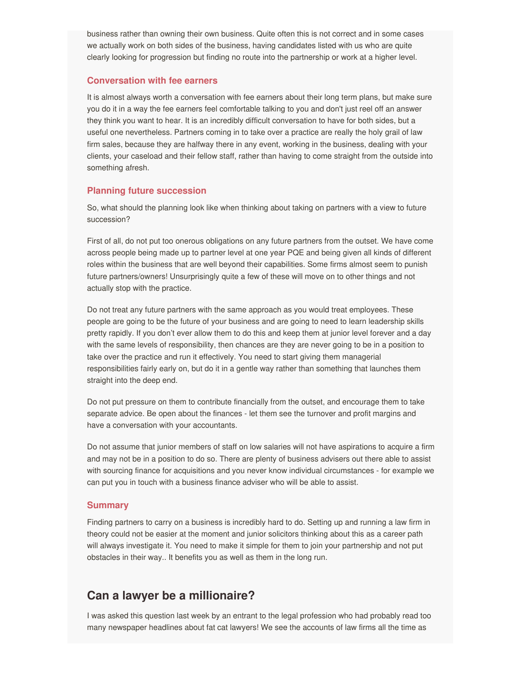business rather than owning their own business. Quite often this is not correct and in some cases we actually work on both sides of the business, having candidates listed with us who are quite clearly looking for progression but finding no route into the partnership or work at a higher level.

#### **Conversation with fee earners**

It is almost always worth a conversation with fee earners about their long term plans, but make sure you do it in a way the fee earners feel comfortable talking to you and don't just reel off an answer they think you want to hear. It is an incredibly difficult conversation to have for both sides, but a useful one nevertheless. Partners coming in to take over a practice are really the holy grail of law firm sales, because they are halfway there in any event, working in the business, dealing with your clients, your caseload and their fellow staff, rather than having to come straight from the outside into something afresh.

#### **Planning future succession**

So, what should the planning look like when thinking about taking on partners with a view to future succession?

First of all, do not put too onerous obligations on any future partners from the outset. We have come across people being made up to partner level at one year PQE and being given all kinds of different roles within the business that are well beyond their capabilities. Some firms almost seem to punish future partners/owners! Unsurprisingly quite a few of these will move on to other things and not actually stop with the practice.

Do not treat any future partners with the same approach as you would treat employees. These people are going to be the future of your business and are going to need to learn leadership skills pretty rapidly. If you don't ever allow them to do this and keep them at junior level forever and a day with the same levels of responsibility, then chances are they are never going to be in a position to take over the practice and run it effectively. You need to start giving them managerial responsibilities fairly early on, but do it in a gentle way rather than something that launches them straight into the deep end.

Do not put pressure on them to contribute financially from the outset, and encourage them to take separate advice. Be open about the finances - let them see the turnover and profit margins and have a conversation with your accountants.

Do not assume that junior members of staff on low salaries will not have aspirations to acquire a firm and may not be in a position to do so. There are plenty of business advisers out there able to assist with sourcing finance for acquisitions and you never know individual circumstances - for example we can put you in touch with a business finance adviser who will be able to assist.

#### **Summary**

Finding partners to carry on a business is incredibly hard to do. Setting up and running a law firm in theory could not be easier at the moment and junior solicitors thinking about this as a career path will always investigate it. You need to make it simple for them to join your partnership and not put obstacles in their way.. It benefits you as well as them in the long run.

### **Can a lawyer be a millionaire?**

I was asked this question last week by an entrant to the legal profession who had probably read too many newspaper headlines about fat cat lawyers! We see the accounts of law firms all the time as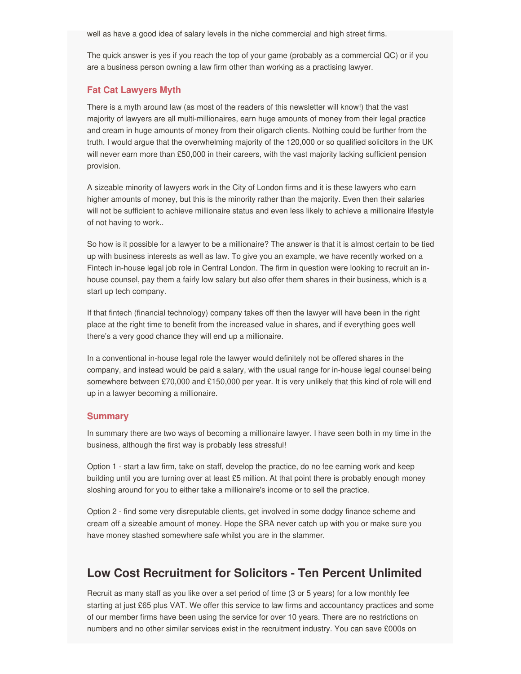well as have a good idea of salary levels in the niche commercial and high street firms.

The quick answer is yes if you reach the top of your game (probably as a commercial QC) or if you are a business person owning a law firm other than working as a practising lawyer.

#### **Fat Cat Lawyers Myth**

There is a myth around law (as most of the readers of this newsletter will know!) that the vast majority of lawyers are all multi-millionaires, earn huge amounts of money from their legal practice and cream in huge amounts of money from their oligarch clients. Nothing could be further from the truth. I would argue that the overwhelming majority of the 120,000 or so qualified solicitors in the UK will never earn more than £50,000 in their careers, with the vast majority lacking sufficient pension provision.

A sizeable minority of lawyers work in the City of London firms and it is these lawyers who earn higher amounts of money, but this is the minority rather than the majority. Even then their salaries will not be sufficient to achieve millionaire status and even less likely to achieve a millionaire lifestyle of not having to work..

So how is it possible for a lawyer to be a millionaire? The answer is that it is almost certain to be tied up with business interests as well as law. To give you an example, we have recently worked on a Fintech in-house legal job role in Central London. The firm in question were looking to recruit an inhouse counsel, pay them a fairly low salary but also offer them shares in their business, which is a start up tech company.

If that fintech (financial technology) company takes off then the lawyer will have been in the right place at the right time to benefit from the increased value in shares, and if everything goes well there's a very good chance they will end up a millionaire.

In a conventional in-house legal role the lawyer would definitely not be offered shares in the company, and instead would be paid a salary, with the usual range for in-house legal counsel being somewhere between £70,000 and £150,000 per year. It is very unlikely that this kind of role will end up in a lawyer becoming a millionaire.

#### **Summary**

In summary there are two ways of becoming a millionaire lawyer. I have seen both in my time in the business, although the first way is probably less stressful!

Option 1 - start a law firm, take on staff, develop the practice, do no fee earning work and keep building until you are turning over at least £5 million. At that point there is probably enough money sloshing around for you to either take a millionaire's income or to sell the practice.

Option 2 - find some very disreputable clients, get involved in some dodgy finance scheme and cream off a sizeable amount of money. Hope the SRA never catch up with you or make sure you have money stashed somewhere safe whilst you are in the slammer.

### **Low Cost Recruitment for Solicitors - Ten Percent Unlimited**

Recruit as many staff as you like over a set period of time (3 or 5 years) for a low monthly fee starting at just £65 plus VAT. We offer this service to law firms and accountancy practices and some of our member firms have been using the service for over 10 years. There are no restrictions on numbers and no other similar services exist in the recruitment industry. You can save £000s on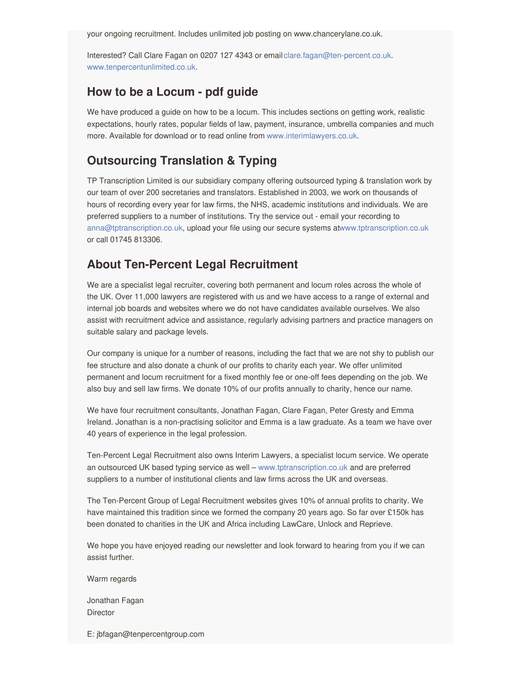your ongoing recruitment. Includes unlimited job posting on www.chancerylane.co.uk.

Interested? Call Clare Fagan on 0207 127 4343 or email[clare.fagan@ten-percent.co.uk](mailto:clare.fagan@ten-percent.co.uk). [www.tenpercentunlimited.co.uk](https://www.tenpercentunlimited.co.uk).

## **How to be a Locum - pdf guide**

We have produced a guide on how to be a locum. This includes sections on getting work, realistic expectations, hourly rates, popular fields of law, payment, insurance, umbrella companies and much more. Available for download or to read online from [www.interimlawyers.co.uk](http://www.interimlawyers.co.uk).

# **Outsourcing Translation & Typing**

TP Transcription Limited is our subsidiary company offering outsourced typing & translation work by our team of over 200 secretaries and translators. Established in 2003, we work on thousands of hours of recording every year for law firms, the NHS, academic institutions and individuals. We are preferred suppliers to a number of institutions. Try the service out - email your recording to [anna@tptranscription.co.uk](mailto:anna@tptranscription.co.uk), upload your file using our secure systems a[twww.tptranscription.co.uk](https://www.tptranscription.co.uk) or call 01745 813306.

# **About Ten-Percent Legal Recruitment**

We are a specialist legal recruiter, covering both permanent and locum roles across the whole of the UK. Over 11,000 lawyers are registered with us and we have access to a range of external and internal job boards and websites where we do not have candidates available ourselves. We also assist with recruitment advice and assistance, regularly advising partners and practice managers on suitable salary and package levels.

Our company is unique for a number of reasons, including the fact that we are not shy to publish our fee structure and also donate a chunk of our profits to charity each year. We offer unlimited permanent and locum recruitment for a fixed monthly fee or one-off fees depending on the job. We also buy and sell law firms. We donate 10% of our profits annually to charity, hence our name.

We have four recruitment consultants, Jonathan Fagan, Clare Fagan, Peter Gresty and Emma Ireland. Jonathan is a non-practising solicitor and Emma is a law graduate. As a team we have over 40 years of experience in the legal profession.

Ten-Percent Legal Recruitment also owns Interim Lawyers, a specialist locum service. We operate an outsourced UK based typing service as well – [www.tptranscription.co.uk](https://www.tptranscription.co.uk) and are preferred suppliers to a number of institutional clients and law firms across the UK and overseas.

The Ten-Percent Group of Legal Recruitment websites gives 10% of annual profits to charity. We have maintained this tradition since we formed the company 20 years ago. So far over £150k has been donated to charities in the UK and Africa including LawCare, Unlock and Reprieve.

We hope you have enjoyed reading our newsletter and look forward to hearing from you if we can assist further.

Warm regards

Jonathan Fagan **Director** 

E: jbfagan@tenpercentgroup.com